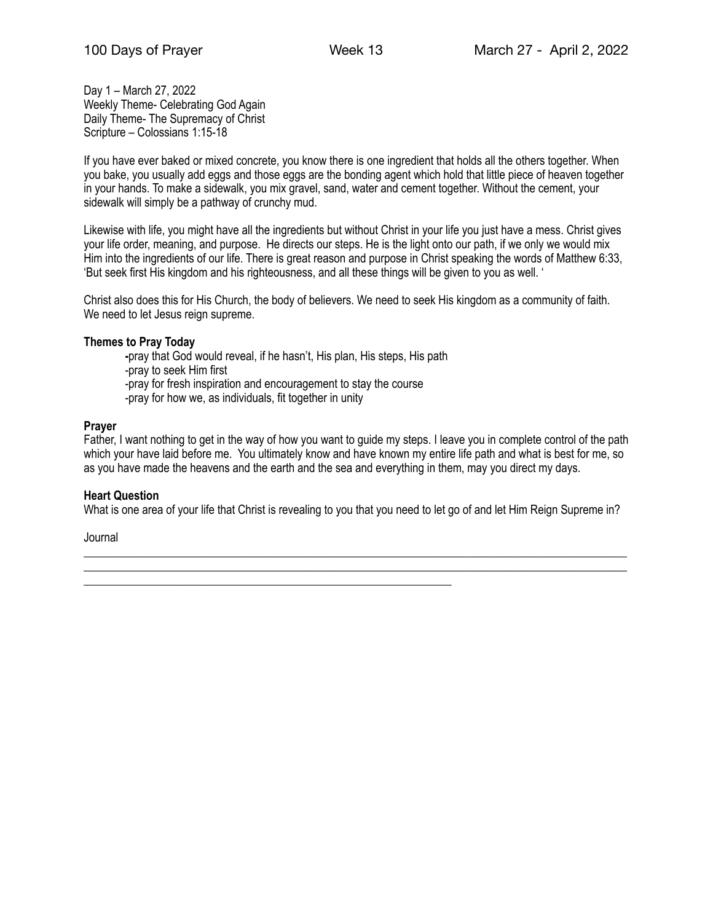Day 1 – March 27, 2022 Weekly Theme- Celebrating God Again Daily Theme- The Supremacy of Christ Scripture – Colossians 1:15-18

If you have ever baked or mixed concrete, you know there is one ingredient that holds all the others together. When you bake, you usually add eggs and those eggs are the bonding agent which hold that little piece of heaven together in your hands. To make a sidewalk, you mix gravel, sand, water and cement together. Without the cement, your sidewalk will simply be a pathway of crunchy mud.

Likewise with life, you might have all the ingredients but without Christ in your life you just have a mess. Christ gives your life order, meaning, and purpose. He directs our steps. He is the light onto our path, if we only we would mix Him into the ingredients of our life. There is great reason and purpose in Christ speaking the words of Matthew 6:33, 'But seek first His kingdom and his righteousness, and all these things will be given to you as well. '

Christ also does this for His Church, the body of believers. We need to seek His kingdom as a community of faith. We need to let Jesus reign supreme.

#### **Themes to Pray Today**

 **-**pray that God would reveal, if he hasn't, His plan, His steps, His path -pray to seek Him first -pray for fresh inspiration and encouragement to stay the course -pray for how we, as individuals, fit together in unity

\_\_\_\_\_\_\_\_\_\_\_\_\_\_\_\_\_\_\_\_\_\_\_\_\_\_\_\_\_\_\_\_\_\_\_\_\_\_\_\_\_\_\_\_\_\_\_\_\_\_\_\_\_\_\_\_\_\_\_\_\_\_\_

#### **Prayer**

Father, I want nothing to get in the way of how you want to guide my steps. I leave you in complete control of the path which your have laid before me. You ultimately know and have known my entire life path and what is best for me, so as you have made the heavens and the earth and the sea and everything in them, may you direct my days.

#### **Heart Question**

What is one area of your life that Christ is revealing to you that you need to let go of and let Him Reign Supreme in?

\_\_\_\_\_\_\_\_\_\_\_\_\_\_\_\_\_\_\_\_\_\_\_\_\_\_\_\_\_\_\_\_\_\_\_\_\_\_\_\_\_\_\_\_\_\_\_\_\_\_\_\_\_\_\_\_\_\_\_\_\_\_\_\_\_\_\_\_\_\_\_\_\_\_\_\_\_\_\_\_\_\_\_\_\_\_\_\_\_\_\_\_\_ \_\_\_\_\_\_\_\_\_\_\_\_\_\_\_\_\_\_\_\_\_\_\_\_\_\_\_\_\_\_\_\_\_\_\_\_\_\_\_\_\_\_\_\_\_\_\_\_\_\_\_\_\_\_\_\_\_\_\_\_\_\_\_\_\_\_\_\_\_\_\_\_\_\_\_\_\_\_\_\_\_\_\_\_\_\_\_\_\_\_\_\_\_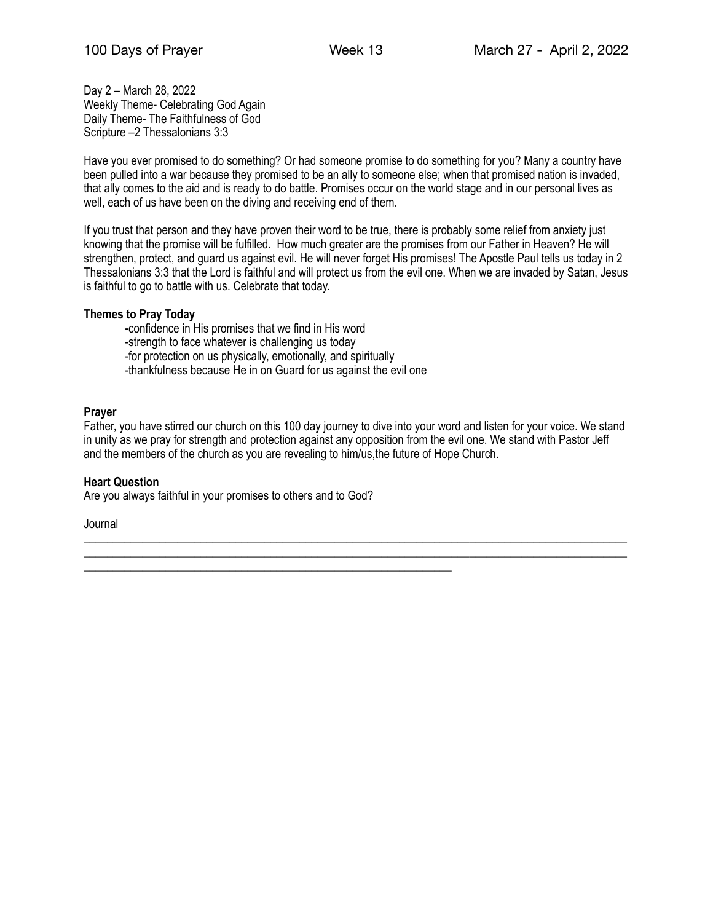Day 2 – March 28, 2022 Weekly Theme- Celebrating God Again Daily Theme- The Faithfulness of God Scripture –2 Thessalonians 3:3

Have you ever promised to do something? Or had someone promise to do something for you? Many a country have been pulled into a war because they promised to be an ally to someone else; when that promised nation is invaded, that ally comes to the aid and is ready to do battle. Promises occur on the world stage and in our personal lives as well, each of us have been on the diving and receiving end of them.

If you trust that person and they have proven their word to be true, there is probably some relief from anxiety just knowing that the promise will be fulfilled. How much greater are the promises from our Father in Heaven? He will strengthen, protect, and guard us against evil. He will never forget His promises! The Apostle Paul tells us today in 2 Thessalonians 3:3 that the Lord is faithful and will protect us from the evil one. When we are invaded by Satan, Jesus is faithful to go to battle with us. Celebrate that today.

## **Themes to Pray Today**

 **-**confidence in His promises that we find in His word -strength to face whatever is challenging us today -for protection on us physically, emotionally, and spiritually -thankfulness because He in on Guard for us against the evil one

\_\_\_\_\_\_\_\_\_\_\_\_\_\_\_\_\_\_\_\_\_\_\_\_\_\_\_\_\_\_\_\_\_\_\_\_\_\_\_\_\_\_\_\_\_\_\_\_\_\_\_\_\_\_\_\_\_\_\_\_\_\_\_

## **Prayer**

Father, you have stirred our church on this 100 day journey to dive into your word and listen for your voice. We stand in unity as we pray for strength and protection against any opposition from the evil one. We stand with Pastor Jeff and the members of the church as you are revealing to him/us,the future of Hope Church.

\_\_\_\_\_\_\_\_\_\_\_\_\_\_\_\_\_\_\_\_\_\_\_\_\_\_\_\_\_\_\_\_\_\_\_\_\_\_\_\_\_\_\_\_\_\_\_\_\_\_\_\_\_\_\_\_\_\_\_\_\_\_\_\_\_\_\_\_\_\_\_\_\_\_\_\_\_\_\_\_\_\_\_\_\_\_\_\_\_\_\_\_\_ \_\_\_\_\_\_\_\_\_\_\_\_\_\_\_\_\_\_\_\_\_\_\_\_\_\_\_\_\_\_\_\_\_\_\_\_\_\_\_\_\_\_\_\_\_\_\_\_\_\_\_\_\_\_\_\_\_\_\_\_\_\_\_\_\_\_\_\_\_\_\_\_\_\_\_\_\_\_\_\_\_\_\_\_\_\_\_\_\_\_\_\_\_

#### **Heart Question**

Are you always faithful in your promises to others and to God?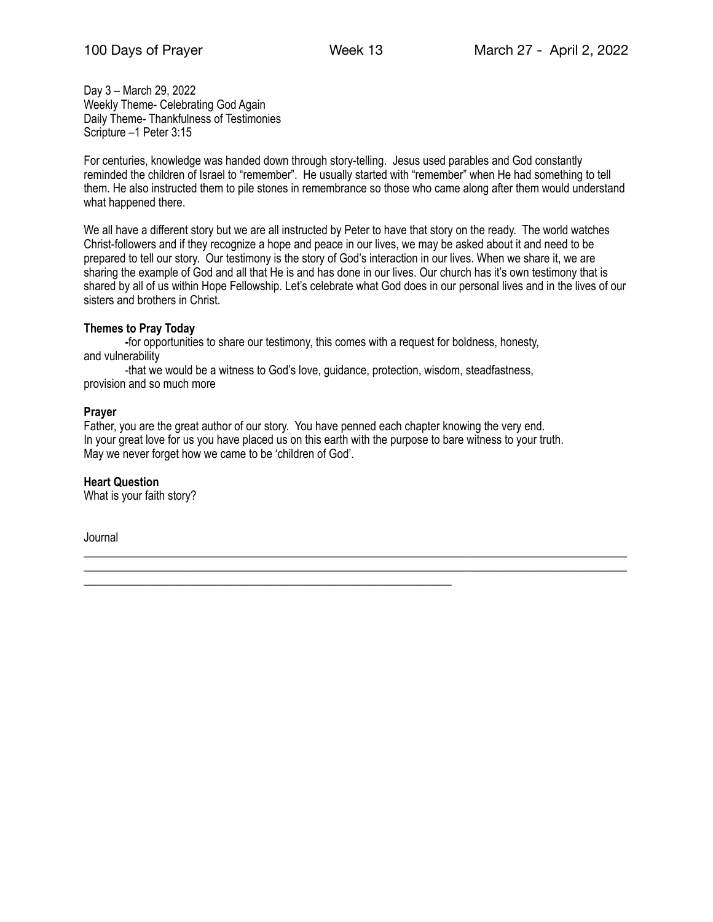Day 3 – March 29, 2022 Weekly Theme- Celebrating God Again Daily Theme- Thankfulness of Testimonies Scripture –1 Peter 3:15

For centuries, knowledge was handed down through story-telling. Jesus used parables and God constantly reminded the children of Israel to "remember". He usually started with "remember" when He had something to tell them. He also instructed them to pile stones in remembrance so those who came along after them would understand what happened there.

We all have a different story but we are all instructed by Peter to have that story on the ready. The world watches Christ-followers and if they recognize a hope and peace in our lives, we may be asked about it and need to be prepared to tell our story. Our testimony is the story of God's interaction in our lives. When we share it, we are sharing the example of God and all that He is and has done in our lives. Our church has it's own testimony that is shared by all of us within Hope Fellowship. Let's celebrate what God does in our personal lives and in the lives of our sisters and brothers in Christ.

## **Themes to Pray Today**

 **-**for opportunities to share our testimony, this comes with a request for boldness, honesty, and vulnerability

 -that we would be a witness to God's love, guidance, protection, wisdom, steadfastness, provision and so much more

\_\_\_\_\_\_\_\_\_\_\_\_\_\_\_\_\_\_\_\_\_\_\_\_\_\_\_\_\_\_\_\_\_\_\_\_\_\_\_\_\_\_\_\_\_\_\_\_\_\_\_\_\_\_\_\_\_\_\_\_\_\_\_

## **Prayer**

Father, you are the great author of our story. You have penned each chapter knowing the very end. In your great love for us you have placed us on this earth with the purpose to bare witness to your truth. May we never forget how we came to be 'children of God'.

\_\_\_\_\_\_\_\_\_\_\_\_\_\_\_\_\_\_\_\_\_\_\_\_\_\_\_\_\_\_\_\_\_\_\_\_\_\_\_\_\_\_\_\_\_\_\_\_\_\_\_\_\_\_\_\_\_\_\_\_\_\_\_\_\_\_\_\_\_\_\_\_\_\_\_\_\_\_\_\_\_\_\_\_\_\_\_\_\_\_\_\_\_ \_\_\_\_\_\_\_\_\_\_\_\_\_\_\_\_\_\_\_\_\_\_\_\_\_\_\_\_\_\_\_\_\_\_\_\_\_\_\_\_\_\_\_\_\_\_\_\_\_\_\_\_\_\_\_\_\_\_\_\_\_\_\_\_\_\_\_\_\_\_\_\_\_\_\_\_\_\_\_\_\_\_\_\_\_\_\_\_\_\_\_\_\_

## **Heart Question**

What is your faith story?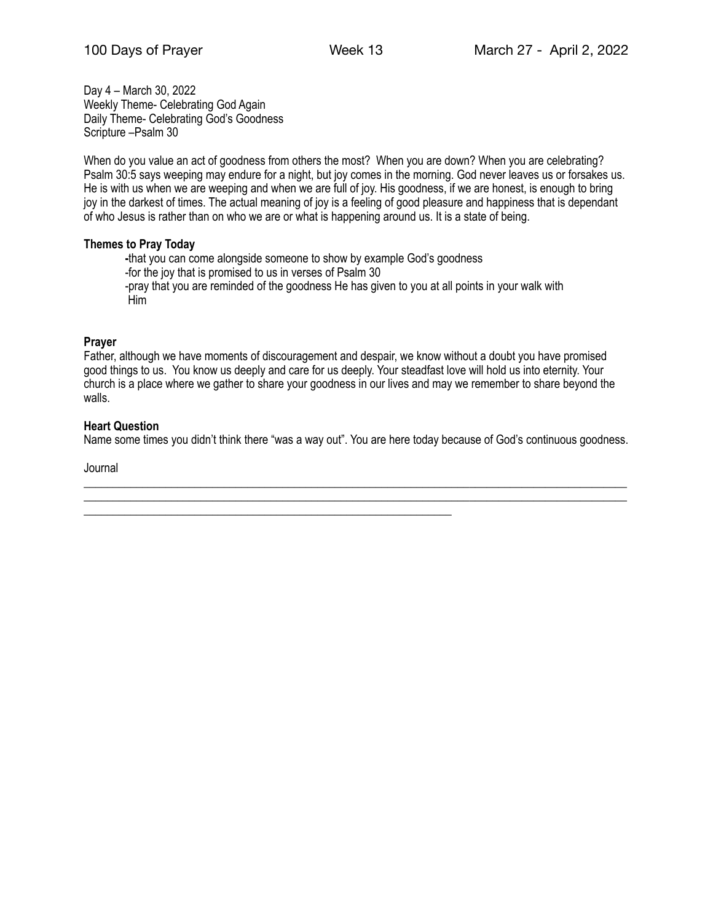Day 4 – March 30, 2022 Weekly Theme- Celebrating God Again Daily Theme- Celebrating God's Goodness Scripture –Psalm 30

When do you value an act of goodness from others the most? When you are down? When you are celebrating? Psalm 30:5 says weeping may endure for a night, but joy comes in the morning. God never leaves us or forsakes us. He is with us when we are weeping and when we are full of joy. His goodness, if we are honest, is enough to bring joy in the darkest of times. The actual meaning of joy is a feeling of good pleasure and happiness that is dependant of who Jesus is rather than on who we are or what is happening around us. It is a state of being.

## **Themes to Pray Today**

 **-**that you can come alongside someone to show by example God's goodness -for the joy that is promised to us in verses of Psalm 30 -pray that you are reminded of the goodness He has given to you at all points in your walk with Him

# **Prayer**

Father, although we have moments of discouragement and despair, we know without a doubt you have promised good things to us. You know us deeply and care for us deeply. Your steadfast love will hold us into eternity. Your church is a place where we gather to share your goodness in our lives and may we remember to share beyond the walls.

# **Heart Question**

Name some times you didn't think there "was a way out". You are here today because of God's continuous goodness.

\_\_\_\_\_\_\_\_\_\_\_\_\_\_\_\_\_\_\_\_\_\_\_\_\_\_\_\_\_\_\_\_\_\_\_\_\_\_\_\_\_\_\_\_\_\_\_\_\_\_\_\_\_\_\_\_\_\_\_\_\_\_\_\_\_\_\_\_\_\_\_\_\_\_\_\_\_\_\_\_\_\_\_\_\_\_\_\_\_\_\_\_\_

\_\_\_\_\_\_\_\_\_\_\_\_\_\_\_\_\_\_\_\_\_\_\_\_\_\_\_\_\_\_\_\_\_\_\_\_\_\_\_\_\_\_\_\_\_\_\_\_\_\_\_\_\_\_\_\_\_\_\_\_\_\_\_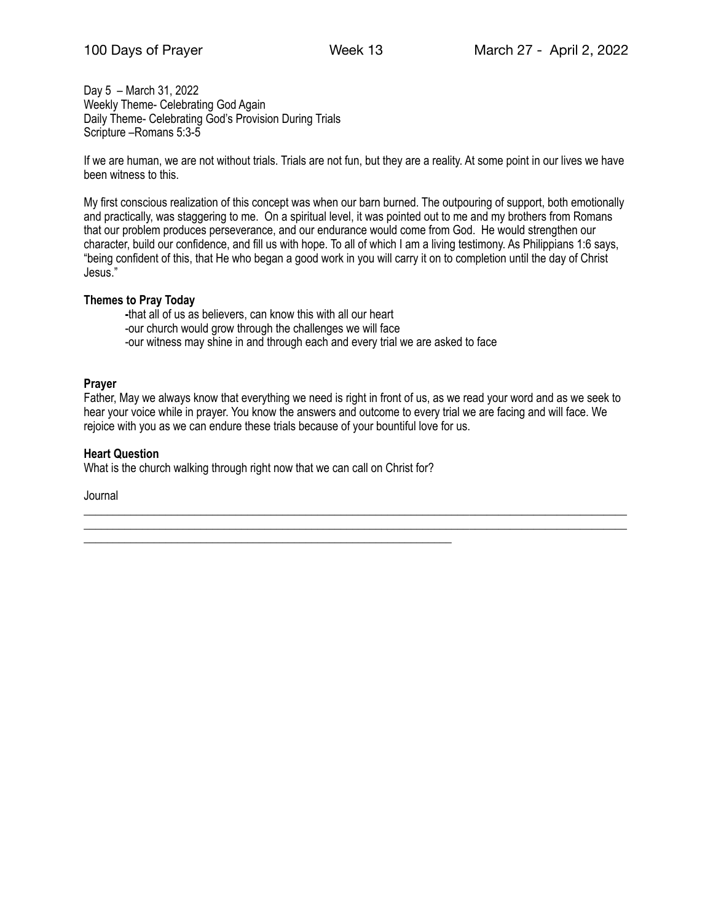Day 5 – March 31, 2022 Weekly Theme- Celebrating God Again Daily Theme- Celebrating God's Provision During Trials Scripture –Romans 5:3-5

If we are human, we are not without trials. Trials are not fun, but they are a reality. At some point in our lives we have been witness to this.

My first conscious realization of this concept was when our barn burned. The outpouring of support, both emotionally and practically, was staggering to me. On a spiritual level, it was pointed out to me and my brothers from Romans that our problem produces perseverance, and our endurance would come from God. He would strengthen our character, build our confidence, and fill us with hope. To all of which I am a living testimony. As Philippians 1:6 says, "being confident of this, that He who began a good work in you will carry it on to completion until the day of Christ Jesus."

# **Themes to Pray Today**

 **-**that all of us as believers, can know this with all our heart -our church would grow through the challenges we will face -our witness may shine in and through each and every trial we are asked to face

# **Prayer**

Father, May we always know that everything we need is right in front of us, as we read your word and as we seek to hear your voice while in prayer. You know the answers and outcome to every trial we are facing and will face. We rejoice with you as we can endure these trials because of your bountiful love for us.

\_\_\_\_\_\_\_\_\_\_\_\_\_\_\_\_\_\_\_\_\_\_\_\_\_\_\_\_\_\_\_\_\_\_\_\_\_\_\_\_\_\_\_\_\_\_\_\_\_\_\_\_\_\_\_\_\_\_\_\_\_\_\_\_\_\_\_\_\_\_\_\_\_\_\_\_\_\_\_\_\_\_\_\_\_\_\_\_\_\_\_\_\_ \_\_\_\_\_\_\_\_\_\_\_\_\_\_\_\_\_\_\_\_\_\_\_\_\_\_\_\_\_\_\_\_\_\_\_\_\_\_\_\_\_\_\_\_\_\_\_\_\_\_\_\_\_\_\_\_\_\_\_\_\_\_\_\_\_\_\_\_\_\_\_\_\_\_\_\_\_\_\_\_\_\_\_\_\_\_\_\_\_\_\_\_\_

## **Heart Question**

What is the church walking through right now that we can call on Christ for?

\_\_\_\_\_\_\_\_\_\_\_\_\_\_\_\_\_\_\_\_\_\_\_\_\_\_\_\_\_\_\_\_\_\_\_\_\_\_\_\_\_\_\_\_\_\_\_\_\_\_\_\_\_\_\_\_\_\_\_\_\_\_\_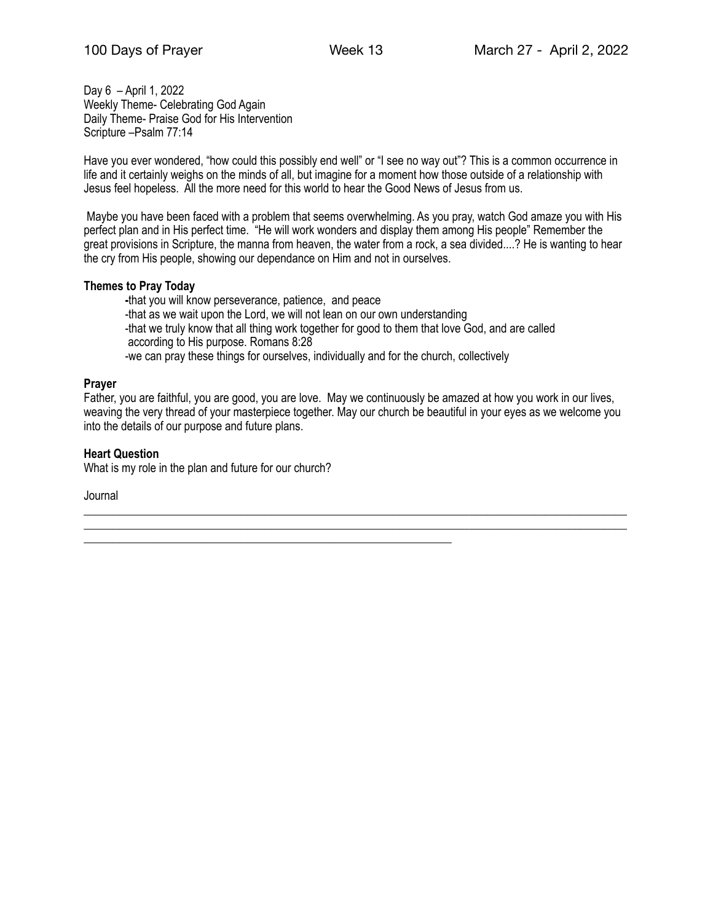Day 6 – April 1, 2022 Weekly Theme- Celebrating God Again Daily Theme- Praise God for His Intervention Scripture –Psalm 77:14

Have you ever wondered, "how could this possibly end well" or "I see no way out"? This is a common occurrence in life and it certainly weighs on the minds of all, but imagine for a moment how those outside of a relationship with Jesus feel hopeless. All the more need for this world to hear the Good News of Jesus from us.

 Maybe you have been faced with a problem that seems overwhelming. As you pray, watch God amaze you with His perfect plan and in His perfect time. "He will work wonders and display them among His people" Remember the great provisions in Scripture, the manna from heaven, the water from a rock, a sea divided....? He is wanting to hear the cry from His people, showing our dependance on Him and not in ourselves.

# **Themes to Pray Today**

 **-**that you will know perseverance, patience, and peace -that as we wait upon the Lord, we will not lean on our own understanding -that we truly know that all thing work together for good to them that love God, and are called according to His purpose. Romans 8:28 -we can pray these things for ourselves, individually and for the church, collectively

# **Prayer**

Father, you are faithful, you are good, you are love. May we continuously be amazed at how you work in our lives, weaving the very thread of your masterpiece together. May our church be beautiful in your eyes as we welcome you into the details of our purpose and future plans.

\_\_\_\_\_\_\_\_\_\_\_\_\_\_\_\_\_\_\_\_\_\_\_\_\_\_\_\_\_\_\_\_\_\_\_\_\_\_\_\_\_\_\_\_\_\_\_\_\_\_\_\_\_\_\_\_\_\_\_\_\_\_\_\_\_\_\_\_\_\_\_\_\_\_\_\_\_\_\_\_\_\_\_\_\_\_\_\_\_\_\_\_\_ \_\_\_\_\_\_\_\_\_\_\_\_\_\_\_\_\_\_\_\_\_\_\_\_\_\_\_\_\_\_\_\_\_\_\_\_\_\_\_\_\_\_\_\_\_\_\_\_\_\_\_\_\_\_\_\_\_\_\_\_\_\_\_\_\_\_\_\_\_\_\_\_\_\_\_\_\_\_\_\_\_\_\_\_\_\_\_\_\_\_\_\_\_

# **Heart Question**

What is my role in the plan and future for our church?

\_\_\_\_\_\_\_\_\_\_\_\_\_\_\_\_\_\_\_\_\_\_\_\_\_\_\_\_\_\_\_\_\_\_\_\_\_\_\_\_\_\_\_\_\_\_\_\_\_\_\_\_\_\_\_\_\_\_\_\_\_\_\_